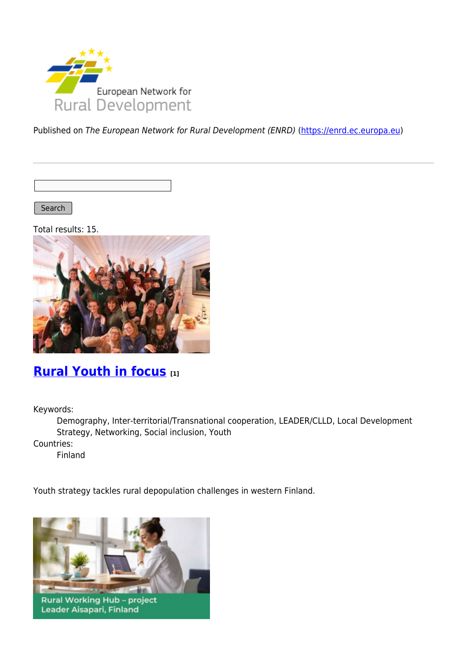

Published on The European Network for Rural Development (ENRD) [\(https://enrd.ec.europa.eu](https://enrd.ec.europa.eu))

Search |

Total results: 15.



### **[Rural Youth in focus](https://enrd.ec.europa.eu/projects-practice/rural-youth-focus_en) [1]**

Keywords:

Demography, Inter-territorial/Transnational cooperation, LEADER/CLLD, Local Development Strategy, Networking, Social inclusion, Youth

Countries:

Finland

Youth strategy tackles rural depopulation challenges in western Finland.



Leader Aisapari, Finland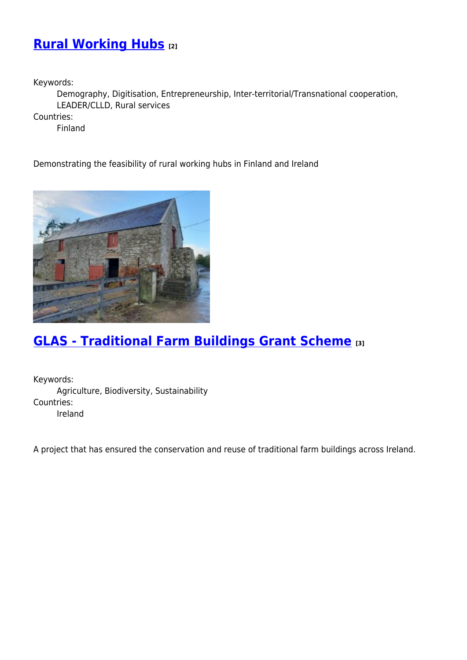## **[Rural Working Hubs](https://enrd.ec.europa.eu/projects-practice/rural-working-hubs_en) [2]**

Keywords:

Demography, Digitisation, Entrepreneurship, Inter-territorial/Transnational cooperation, LEADER/CLLD, Rural services

Countries:

Finland

Demonstrating the feasibility of rural working hubs in Finland and Ireland



## **[GLAS - Traditional Farm Buildings Grant Scheme](https://enrd.ec.europa.eu/projects-practice/glas-traditional-farm-buildings-grant-scheme_en) [3]**

Keywords: Agriculture, Biodiversity, Sustainability Countries: Ireland

A project that has ensured the conservation and reuse of traditional farm buildings across Ireland.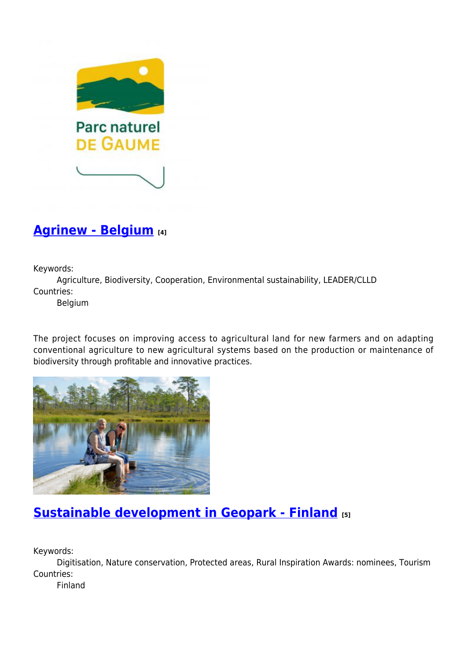

## **[Agrinew - Belgium](https://enrd.ec.europa.eu/projects-practice/agrinew-belgium_en) [4]**

Keywords:

Agriculture, Biodiversity, Cooperation, Environmental sustainability, LEADER/CLLD Countries:

Belgium

The project focuses on improving access to agricultural land for new farmers and on adapting conventional agriculture to new agricultural systems based on the production or maintenance of biodiversity through profitable and innovative practices.



# **[Sustainable development in Geopark - Finland](https://enrd.ec.europa.eu/projects-practice/sustainable-development-geopark-finland_en) [5]**

Keywords:

Digitisation, Nature conservation, Protected areas, Rural Inspiration Awards: nominees, Tourism Countries:

Finland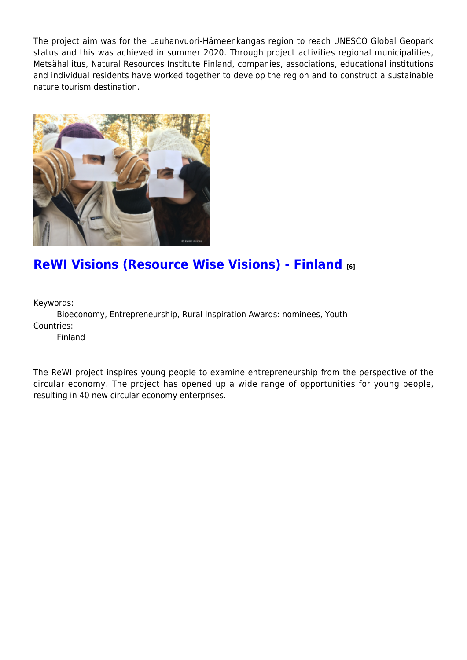The project aim was for the Lauhanvuori-Hämeenkangas region to reach UNESCO Global Geopark status and this was achieved in summer 2020. Through project activities regional municipalities, Metsähallitus, Natural Resources Institute Finland, companies, associations, educational institutions and individual residents have worked together to develop the region and to construct a sustainable nature tourism destination.



## **[ReWI Visions \(Resource Wise Visions\) - Finland](https://enrd.ec.europa.eu/projects-practice/rewi-visions-resource-wise-visions-finland_en) [6]**

Keywords:

Bioeconomy, Entrepreneurship, Rural Inspiration Awards: nominees, Youth Countries:

Finland

The ReWI project inspires young people to examine entrepreneurship from the perspective of the circular economy. The project has opened up a wide range of opportunities for young people, resulting in 40 new circular economy enterprises.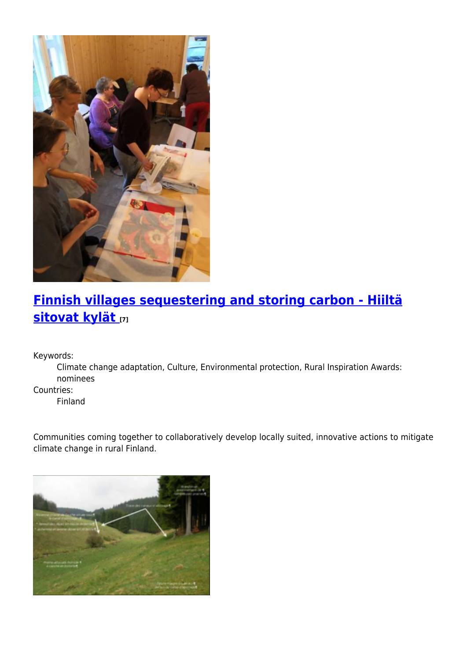

# **[Finnish villages sequestering and storing carbon - Hiiltä](https://enrd.ec.europa.eu/projects-practice/finnish-villages-sequestering-and-storing-carbon-hiilta-sitovat-kylat_en) [sitovat kylät](https://enrd.ec.europa.eu/projects-practice/finnish-villages-sequestering-and-storing-carbon-hiilta-sitovat-kylat_en) [7]**

Keywords:

Climate change adaptation, Culture, Environmental protection, Rural Inspiration Awards: nominees

Countries:

Finland

Communities coming together to collaboratively develop locally suited, innovative actions to mitigate climate change in rural Finland.

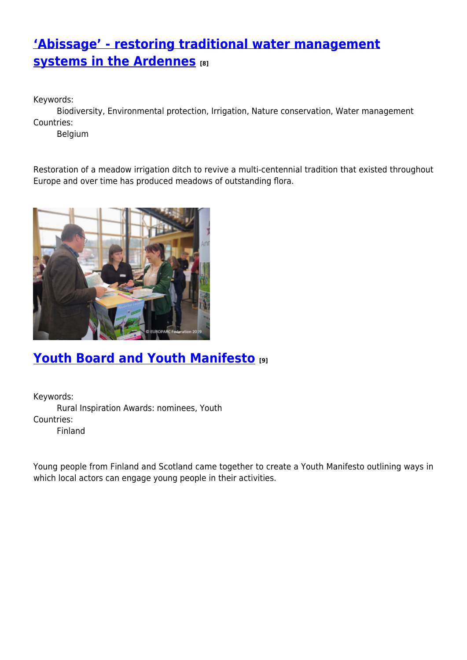## **['Abissage' - restoring traditional water management](https://enrd.ec.europa.eu/projects-practice/abissage-restoring-traditional-water-management-systems-ardennes_en) [systems in the Ardennes](https://enrd.ec.europa.eu/projects-practice/abissage-restoring-traditional-water-management-systems-ardennes_en) [8]**

Keywords:

Biodiversity, Environmental protection, Irrigation, Nature conservation, Water management Countries:

Belgium

Restoration of a meadow irrigation ditch to revive a multi-centennial tradition that existed throughout Europe and over time has produced meadows of outstanding flora.



## **[Youth Board and Youth Manifesto](https://enrd.ec.europa.eu/projects-practice/youth-board-and-youth-manifesto_en) [9]**

Keywords: Rural Inspiration Awards: nominees, Youth Countries: Finland

Young people from Finland and Scotland came together to create a Youth Manifesto outlining ways in which local actors can engage young people in their activities.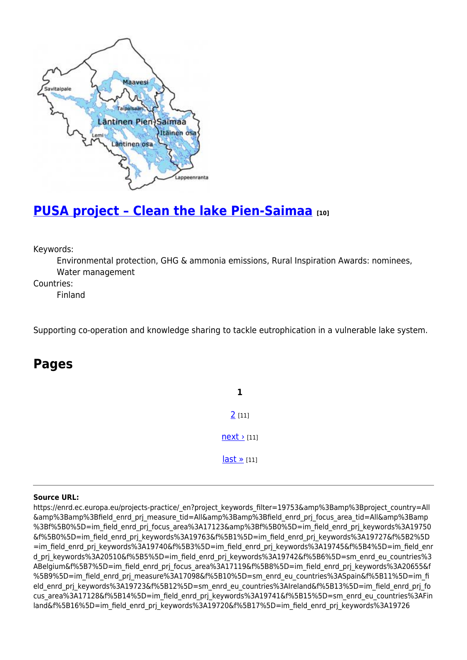

## **[PUSA project – Clean the lake Pien-Saimaa](https://enrd.ec.europa.eu/projects-practice/pusa-project-clean-lake-pien-saimaa_en) [10]**

Keywords:

Environmental protection, GHG & ammonia emissions, Rural Inspiration Awards: nominees, Water management

Countries:

Finland

Supporting co-operation and knowledge sharing to tackle eutrophication in a vulnerable lake system.

#### **Pages**

**1** [2](https://enrd.ec.europa.eu/projects-practice/_en?page=1&project_keywords_filter=19753&%3Bamp%3Bproject_country=All&%3Bamp%3Bfield_enrd_prj_measure_tid=All&%3Bamp%3Bfield_enrd_prj_focus_area_tid=All&%3Bamp%3Bf%5B0%5D=im_field_enrd_prj_focus_area%3A17123&%3Bf%5B0%5D=im_field_enrd_prj_keywords%3A19750&f%5B0%5D=im_field_enrd_prj_keywords%3A19763&f%5B1%5D=im_field_enrd_prj_keywords%3A19727&f%5B2%5D=im_field_enrd_prj_keywords%3A19740&f%5B3%5D=im_field_enrd_prj_keywords%3A19745&f%5B4%5D=im_field_enrd_prj_keywords%3A20510&f%5B5%5D=im_field_enrd_prj_keywords%3A19742&f%5B6%5D=sm_enrd_eu_countries%3ABelgium&f%5B7%5D=im_field_enrd_prj_focus_area%3A17119&f%5B8%5D=im_field_enrd_prj_keywords%3A20655&f%5B9%5D=im_field_enrd_prj_measure%3A17098&f%5B10%5D=sm_enrd_eu_countries%3ASpain&f%5B11%5D=im_field_enrd_prj_keywords%3A19723&f%5B12%5D=sm_enrd_eu_countries%3AIreland&f%5B13%5D=im_field_enrd_prj_focus_area%3A17128&f%5B14%5D=im_field_enrd_prj_keywords%3A19741&f%5B15%5D=sm_enrd_eu_countries%3AFinland&f%5B16%5D=im_field_enrd_prj_keywords%3A19720&f%5B17%5D=im_field_enrd_prj_keywords%3A19726) [11]  $next$  [11] [last »](https://enrd.ec.europa.eu/projects-practice/_en?page=1&project_keywords_filter=19753&%3Bamp%3Bproject_country=All&%3Bamp%3Bfield_enrd_prj_measure_tid=All&%3Bamp%3Bfield_enrd_prj_focus_area_tid=All&%3Bamp%3Bf%5B0%5D=im_field_enrd_prj_focus_area%3A17123&%3Bf%5B0%5D=im_field_enrd_prj_keywords%3A19750&f%5B0%5D=im_field_enrd_prj_keywords%3A19763&f%5B1%5D=im_field_enrd_prj_keywords%3A19727&f%5B2%5D=im_field_enrd_prj_keywords%3A19740&f%5B3%5D=im_field_enrd_prj_keywords%3A19745&f%5B4%5D=im_field_enrd_prj_keywords%3A20510&f%5B5%5D=im_field_enrd_prj_keywords%3A19742&f%5B6%5D=sm_enrd_eu_countries%3ABelgium&f%5B7%5D=im_field_enrd_prj_focus_area%3A17119&f%5B8%5D=im_field_enrd_prj_keywords%3A20655&f%5B9%5D=im_field_enrd_prj_measure%3A17098&f%5B10%5D=sm_enrd_eu_countries%3ASpain&f%5B11%5D=im_field_enrd_prj_keywords%3A19723&f%5B12%5D=sm_enrd_eu_countries%3AIreland&f%5B13%5D=im_field_enrd_prj_focus_area%3A17128&f%5B14%5D=im_field_enrd_prj_keywords%3A19741&f%5B15%5D=sm_enrd_eu_countries%3AFinland&f%5B16%5D=im_field_enrd_prj_keywords%3A19720&f%5B17%5D=im_field_enrd_prj_keywords%3A19726) [11]

#### **Source URL:**

https://enrd.ec.europa.eu/projects-practice/\_en?project\_keywords\_filter=19753&amp%3Bamp%3Bproject\_country=All &amp%3Bamp%3Bfield\_enrd\_prj\_measure\_tid=All&amp%3Bamp%3Bfield\_enrd\_prj\_focus\_area\_tid=All&amp%3Bamp %3Bf%5B0%5D=im\_field\_enrd\_prj\_focus\_area%3A17123&amp%3Bf%5B0%5D=im\_field\_enrd\_prj\_keywords%3A19750 &f%5B0%5D=im\_field\_enrd\_prj\_keywords%3A19763&f%5B1%5D=im\_field\_enrd\_prj\_keywords%3A19727&f%5B2%5D =im\_field\_enrd\_prj\_keywords%3A19740&f%5B3%5D=im\_field\_enrd\_prj\_keywords%3A19745&f%5B4%5D=im\_field\_enr d\_prj\_keywords%3A20510&f%5B5%5D=im\_field\_enrd\_prj\_keywords%3A19742&f%5B6%5D=sm\_enrd\_eu\_countries%3 ABelgium&f%5B7%5D=im\_field\_enrd\_prj\_focus\_area%3A17119&f%5B8%5D=im\_field\_enrd\_prj\_keywords%3A20655&f %5B9%5D=im\_field\_enrd\_prj\_measure%3A17098&f%5B10%5D=sm\_enrd\_eu\_countries%3ASpain&f%5B11%5D=im\_fi eld enrd prj keywords%3A19723&f%5B12%5D=sm enrd eu countries%3AIreland&f%5B13%5D=im field enrd prj fo cus area%3A17128&f%5B14%5D=im field enrd prj keywords%3A19741&f%5B15%5D=sm enrd eu countries%3AFin land&f%5B16%5D=im\_field\_enrd\_prj\_keywords%3A19720&f%5B17%5D=im\_field\_enrd\_prj\_keywords%3A19726